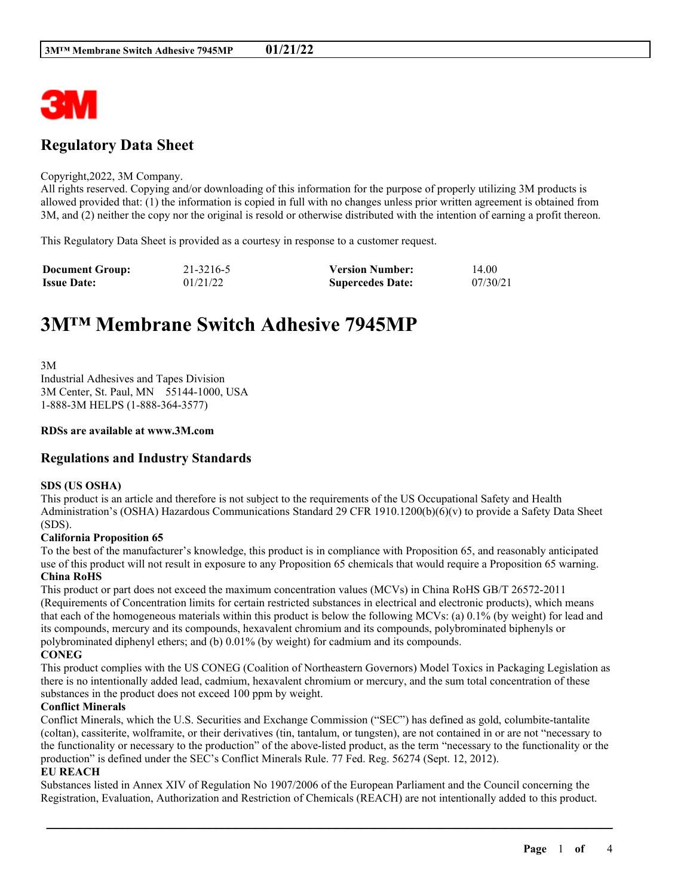

## **Regulatory Data Sheet**

#### Copyright,2022, 3M Company.

All rights reserved. Copying and/or downloading of this information for the purpose of properly utilizing 3M products is allowed provided that: (1) the information is copied in full with no changes unless prior written agreement is obtained from 3M, and (2) neither the copy nor the original is resold or otherwise distributed with the intention of earning a profit thereon.

This Regulatory Data Sheet is provided as a courtesy in response to a customer request.

| <b>Document Group:</b> | 21-3216-5 | <b>Version Number:</b>  | 14.00    |
|------------------------|-----------|-------------------------|----------|
| <b>Issue Date:</b>     | 01/21/22  | <b>Supercedes Date:</b> | 07/30/21 |

# **3M™ Membrane Switch Adhesive 7945MP**

3M Industrial Adhesives and Tapes Division 3M Center, St. Paul, MN 55144-1000, USA 1-888-3M HELPS (1-888-364-3577)

#### **RDSs are available at www.3M.com**

## **Regulations and Industry Standards**

#### **SDS (US OSHA)**

This product is an article and therefore is not subject to the requirements of the US Occupational Safety and Health Administration's (OSHA) Hazardous Communications Standard 29 CFR 1910.1200(b)(6)(v) to provide a Safety Data Sheet (SDS).

#### **California Proposition 65**

To the best of the manufacturer's knowledge, this product is in compliance with Proposition 65, and reasonably anticipated use of this product will not result in exposure to any Proposition 65 chemicals that would require a Proposition 65 warning. **China RoHS**

This product or part does not exceed the maximum concentration values (MCVs) in China RoHS GB/T 26572-2011 (Requirements of Concentration limits for certain restricted substances in electrical and electronic products), which means that each of the homogeneous materials within this product is below the following MCVs: (a) 0.1% (by weight) for lead and its compounds, mercury and its compounds, hexavalent chromium and its compounds, polybrominated biphenyls or polybrominated diphenyl ethers; and (b) 0.01% (by weight) for cadmium and its compounds. **CONEG**

This product complies with the US CONEG (Coalition of Northeastern Governors) Model Toxics in Packaging Legislation as there is no intentionally added lead, cadmium, hexavalent chromium or mercury, and the sum total concentration of these substances in the product does not exceed 100 ppm by weight.

#### **Conflict Minerals**

Conflict Minerals, which the U.S. Securities and Exchange Commission ("SEC") has defined as gold, columbite-tantalite (coltan), cassiterite, wolframite, or their derivatives (tin, tantalum, or tungsten), are not contained in or are not "necessary to the functionality or necessary to the production" of the above-listed product, as the term "necessary to the functionality or the production" is defined under the SEC's Conflict Minerals Rule. 77 Fed. Reg. 56274 (Sept. 12, 2012).

#### **EU REACH**

Substances listed in Annex XIV of Regulation No 1907/2006 of the European Parliament and the Council concerning the Registration, Evaluation, Authorization and Restriction of Chemicals (REACH) are not intentionally added to this product.

\_\_\_\_\_\_\_\_\_\_\_\_\_\_\_\_\_\_\_\_\_\_\_\_\_\_\_\_\_\_\_\_\_\_\_\_\_\_\_\_\_\_\_\_\_\_\_\_\_\_\_\_\_\_\_\_\_\_\_\_\_\_\_\_\_\_\_\_\_\_\_\_\_\_\_\_\_\_\_\_\_\_\_\_\_\_\_\_\_\_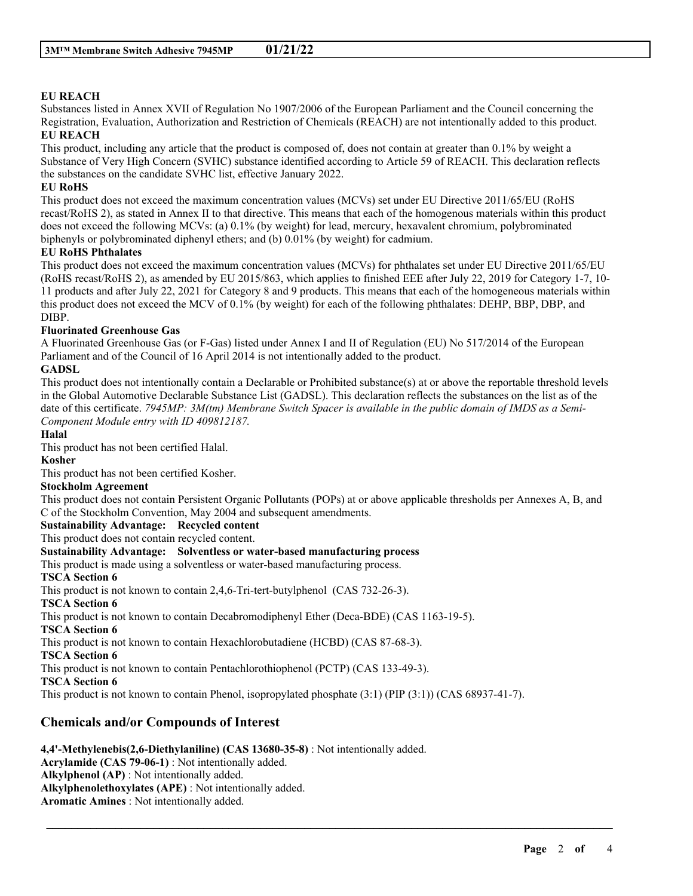## **EU REACH**

Substances listed in Annex XVII of Regulation No 1907/2006 of the European Parliament and the Council concerning the Registration, Evaluation, Authorization and Restriction of Chemicals (REACH) are not intentionally added to this product. **EU REACH**

This product, including any article that the product is composed of, does not contain at greater than 0.1% by weight a Substance of Very High Concern (SVHC) substance identified according to Article 59 of REACH. This declaration reflects the substances on the candidate SVHC list, effective January 2022.

#### **EU RoHS**

This product does not exceed the maximum concentration values (MCVs) set under EU Directive 2011/65/EU (RoHS recast/RoHS 2), as stated in Annex II to that directive. This means that each of the homogenous materials within this product does not exceed the following MCVs: (a) 0.1% (by weight) for lead, mercury, hexavalent chromium, polybrominated biphenyls or polybrominated diphenyl ethers; and (b) 0.01% (by weight) for cadmium.

#### **EU RoHS Phthalates**

This product does not exceed the maximum concentration values (MCVs) for phthalates set under EU Directive 2011/65/EU (RoHS recast/RoHS 2), as amended by EU 2015/863, which applies to finished EEE after July 22, 2019 for Category 1-7, 10- 11 products and after July 22, 2021 for Category 8 and 9 products. This means that each of the homogeneous materials within this product does not exceed the MCV of 0.1% (by weight) for each of the following phthalates: DEHP, BBP, DBP, and DIBP.

## **Fluorinated Greenhouse Gas**

A Fluorinated Greenhouse Gas (or F-Gas) listed under Annex I and II of Regulation (EU) No 517/2014 of the European Parliament and of the Council of 16 April 2014 is not intentionally added to the product.

## **GADSL**

This product does not intentionally contain a Declarable or Prohibited substance(s) at or above the reportable threshold levels in the Global Automotive Declarable Substance List (GADSL). This declaration reflects the substances on the list as of the date of this certificate. 7945MP:  $3M$ (tm) Membrane Switch Spacer is available in the public domain of IMDS as a Semi-*Component Module entry with ID 409812187.*

#### **Halal**

This product has not been certified Halal.

## **Kosher**

This product has not been certified Kosher.

#### **Stockholm Agreement**

This product does not contain Persistent Organic Pollutants (POPs) at or above applicable thresholds per Annexes A, B, and C of the Stockholm Convention, May 2004 and subsequent amendments.

\_\_\_\_\_\_\_\_\_\_\_\_\_\_\_\_\_\_\_\_\_\_\_\_\_\_\_\_\_\_\_\_\_\_\_\_\_\_\_\_\_\_\_\_\_\_\_\_\_\_\_\_\_\_\_\_\_\_\_\_\_\_\_\_\_\_\_\_\_\_\_\_\_\_\_\_\_\_\_\_\_\_\_\_\_\_\_\_\_\_

**Sustainability Advantage: Recycled content**

This product does not contain recycled content.

#### **Sustainability Advantage: Solventless or water-based manufacturing process**

This product is made using a solventless or water-based manufacturing process.

#### **TSCA Section 6**

This product is not known to contain 2,4,6-Tri-tert-butylphenol (CAS 732-26-3).

#### **TSCA Section 6**

This product is not known to contain Decabromodiphenyl Ether (Deca-BDE) (CAS 1163-19-5).

#### **TSCA Section 6**

This product is not known to contain Hexachlorobutadiene (HCBD) (CAS 87-68-3).

**TSCA Section 6**

This product is not known to contain Pentachlorothiophenol (PCTP) (CAS 133-49-3).

#### **TSCA Section 6**

This product is not known to contain Phenol, isopropylated phosphate (3:1) (PIP (3:1)) (CAS 68937-41-7).

## **Chemicals and/or Compounds of Interest**

**4,4'-Methylenebis(2,6-Diethylaniline) (CAS 13680-35-8)** : Not intentionally added. **Acrylamide (CAS 79-06-1)** : Not intentionally added. **Alkylphenol (AP)** : Not intentionally added. **Alkylphenolethoxylates (APE)** : Not intentionally added. **Aromatic Amines** : Not intentionally added.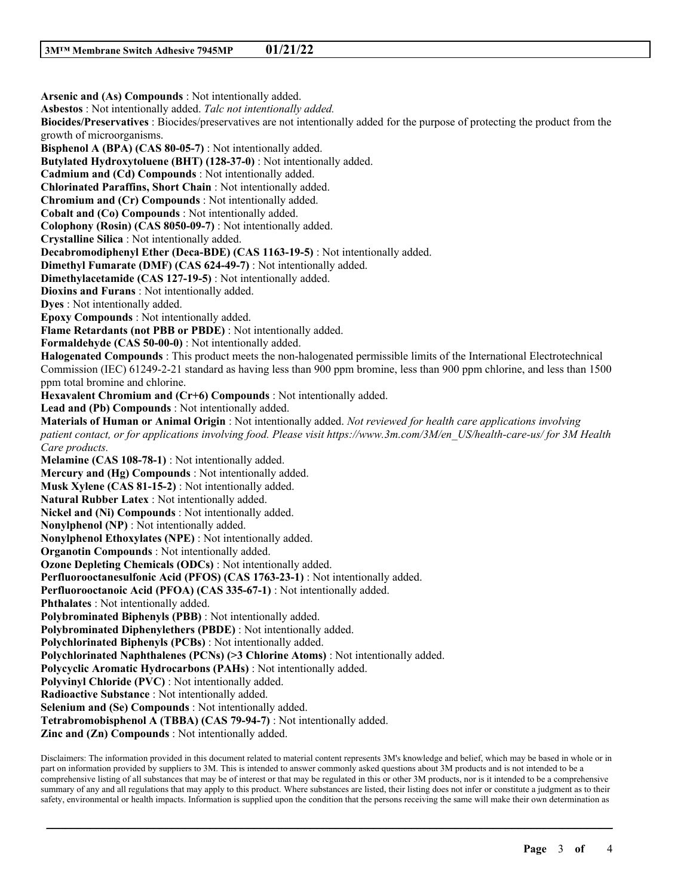**Arsenic and (As) Compounds** : Not intentionally added. **Asbestos** : Not intentionally added. *Talc not intentionally added.* **Biocides/Preservatives** : Biocides/preservatives are not intentionally added for the purpose of protecting the product from the growth of microorganisms. **Bisphenol A (BPA) (CAS 80-05-7)** : Not intentionally added. **Butylated Hydroxytoluene (BHT) (128-37-0)** : Not intentionally added. **Cadmium and (Cd) Compounds** : Not intentionally added. **Chlorinated Paraffins, Short Chain** : Not intentionally added. **Chromium and (Cr) Compounds** : Not intentionally added. **Cobalt and (Co) Compounds** : Not intentionally added. **Colophony (Rosin) (CAS 8050-09-7)** : Not intentionally added. **Crystalline Silica** : Not intentionally added. **Decabromodiphenyl Ether (Deca-BDE) (CAS 1163-19-5)** : Not intentionally added. **Dimethyl Fumarate (DMF) (CAS 624-49-7)** : Not intentionally added. **Dimethylacetamide (CAS 127-19-5)** : Not intentionally added. **Dioxins and Furans** : Not intentionally added. **Dyes** : Not intentionally added. **Epoxy Compounds** : Not intentionally added. **Flame Retardants (not PBB or PBDE)** : Not intentionally added. **Formaldehyde (CAS 50-00-0)** : Not intentionally added. **Halogenated Compounds** : This product meets the non-halogenated permissible limits of the International Electrotechnical Commission (IEC) 61249-2-21 standard as having less than 900 ppm bromine, less than 900 ppm chlorine, and less than 1500 ppm total bromine and chlorine. **Hexavalent Chromium and (Cr+6) Compounds** : Not intentionally added. **Lead and (Pb) Compounds** : Not intentionally added. **Materials of Human or Animal Origin** : Not intentionally added. *Not reviewed for health care applications involving patient contact, or for applications involving food. Please visit https://www.3m.com/3M/en\_US/health-care-us/ for 3M Health Care products.* **Melamine (CAS 108-78-1)** : Not intentionally added. **Mercury and (Hg) Compounds** : Not intentionally added. **Musk Xylene (CAS 81-15-2)** : Not intentionally added. **Natural Rubber Latex** : Not intentionally added. **Nickel and (Ni) Compounds** : Not intentionally added. **Nonylphenol (NP)** : Not intentionally added. **Nonylphenol Ethoxylates (NPE)** : Not intentionally added. **Organotin Compounds** : Not intentionally added. **Ozone Depleting Chemicals (ODCs)** : Not intentionally added. **Perfluorooctanesulfonic Acid (PFOS) (CAS 1763-23-1)** : Not intentionally added. **Perfluorooctanoic Acid (PFOA) (CAS 335-67-1)** : Not intentionally added. **Phthalates** : Not intentionally added. **Polybrominated Biphenyls (PBB)** : Not intentionally added. **Polybrominated Diphenylethers (PBDE)** : Not intentionally added. **Polychlorinated Biphenyls (PCBs)** : Not intentionally added. **Polychlorinated Naphthalenes (PCNs) (>3 Chlorine Atoms)** : Not intentionally added. **Polycyclic Aromatic Hydrocarbons (PAHs)** : Not intentionally added. **Polyvinyl Chloride (PVC)** : Not intentionally added. **Radioactive Substance** : Not intentionally added. **Selenium and (Se) Compounds** : Not intentionally added. **Tetrabromobisphenol A (TBBA) (CAS 79-94-7)** : Not intentionally added. **Zinc and (Zn) Compounds** : Not intentionally added.

Disclaimers: The information provided in this document related to material content represents 3M's knowledge and belief, which may be based in whole or in part on information provided by suppliers to 3M. This is intended to answer commonly asked questions about 3M products and is not intended to be a comprehensive listing of all substances that may be of interest or that may be regulated in this or other 3M products, nor is it intended to be a comprehensive summary of any and all regulations that may apply to this product. Where substances are listed, their listing does not infer or constitute a judgment as to their safety, environmental or health impacts. Information is supplied upon the condition that the persons receiving the same will make their own determination as

\_\_\_\_\_\_\_\_\_\_\_\_\_\_\_\_\_\_\_\_\_\_\_\_\_\_\_\_\_\_\_\_\_\_\_\_\_\_\_\_\_\_\_\_\_\_\_\_\_\_\_\_\_\_\_\_\_\_\_\_\_\_\_\_\_\_\_\_\_\_\_\_\_\_\_\_\_\_\_\_\_\_\_\_\_\_\_\_\_\_